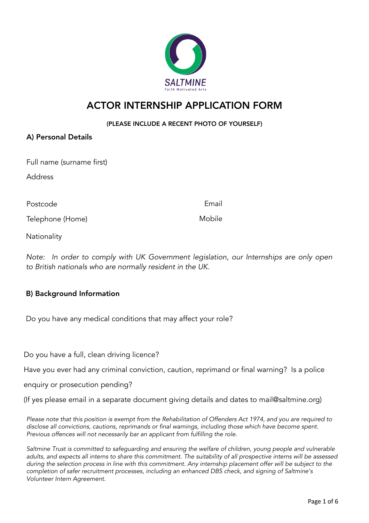# SALTMINE

# ACTOR INTERNSHIP APPLICATION FORM

#### (PLEASE INCLUDE A RECENT PHOTO OF YOURSELF)

#### A) Personal Details

Full name (surname first)

Address

Postcode **Email** Postcode

Telephone (Home)

Mobile

**Nationality** 

Note: In order to comply with UK Government legislation, our Internships are only open to British nationals who are normally resident in the UK.

## **B) Background Information**

Do you have any medical conditions that may affect your role?

Do you have a full, clean driving licence?

Have you ever had any criminal conviction, caution, reprimand or final warning? Is a police

enquiry or prosecution pending?

(If yes please email in a separate document giving details and dates to mail@saltmine.org)

Please note that this position is exempt from the Rehabilitation of Offenders Act 1974, and you are required to disclose all convictions, cautions, reprimands or final warnings, including those which have become spent. Previous offences will not necessarily bar an applicant from fulfilling the role.

Saltmine Trust is committed to safeguarding and ensuring the welfare of children, young people and vulnerable adults, and expects all interns to share this commitment. The suitability of all prospective interns will be assessed during the selection process in line with this commitment. Any internship placement offer will be subject to the completion of safer recruitment processes, including an enhanced DBS check, and signing of Saltmine's Volunteer Intern Agreement.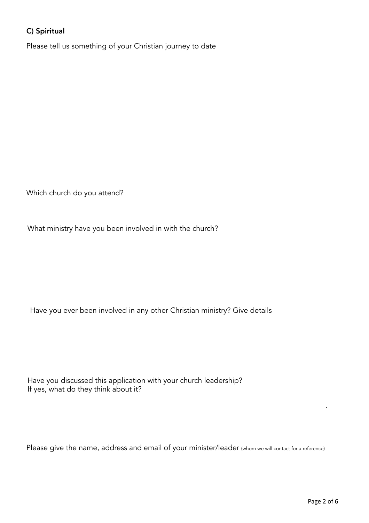# C) Spiritual

Please tell us something of your Christian journey to date

Which church do you attend?

What ministry have you been involved in with the church?

Have you ever been involved in any other Christian ministry? Give details

Have you discussed this application with your church leadership? If yes, what do they think about it?

Please give the name, address and email of your minister/leader (whom we will contact for a reference)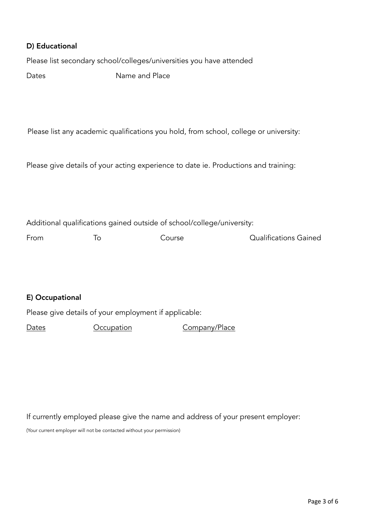#### D) Educational

Please list secondary school/colleges/universities you have attended

Dates **Name and Place** 

Please list any academic qualifications you hold, from school, college or university:

Please give details of your acting experience to date ie. Productions and training:

Additional qualifications gained outside of school/college/university:

From To Course Course Dualifications Gained

#### E) Occupational

Please give details of your employment if applicable:

Dates **Occupation** Company/Place

If currently employed please give the name and address of your present employer:

(Your current employer will not be contacted without your permission)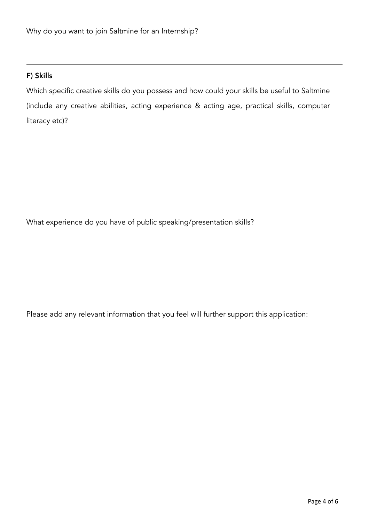#### F) Skills

Which specific creative skills do you possess and how could your skills be useful to Saltmine (include any creative abilities, acting experience & acting age, practical skills, computer literacy etc)?

What experience do you have of public speaking/presentation skills?

Please add any relevant information that you feel will further support this application: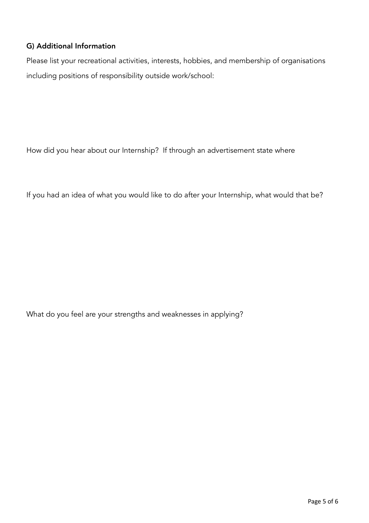### G) Additional Information

Please list your recreational activities, interests, hobbies, and membership of organisations including positions of responsibility outside work/school:

How did you hear about our Internship? If through an advertisement state where

If you had an idea of what you would like to do after your Internship, what would that be?

What do you feel are your strengths and weaknesses in applying?